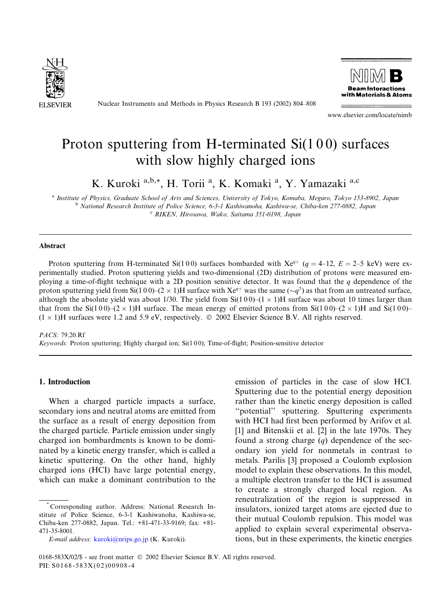

Nuclear Instruments and Methods in Physics Research B 193 (2002) 804–808



www.elsevier.com/locate/nimb

# Proton sputtering from H-terminated Si(1 0 0) surfaces with slow highly charged ions

K. Kuroki a,b,\*, H. Torii <sup>a</sup>, K. Komaki <sup>a</sup>, Y. Yamazaki <sup>a,c</sup>

<sup>a</sup> Institute of Physics, Graduate School of Arts and Sciences, University of Tokyo, Komaba, Meguro, Tokyo 153-8902, Japan <sup>b</sup> National Research Institute of Police Science, 6-3-1 Kashiwanoha, Kashiwa-se, Chiba-ken 277-0882, Japan <sup>c</sup> RIKEN, Hirosawa, Wako, Saitama 351-0198, Japan

#### Abstract

Proton sputtering from H-terminated Si(100) surfaces bombarded with  $Xe^{q+}$  ( $q = 4-12$ ,  $E = 2-5$  keV) were experimentally studied. Proton sputtering yields and two-dimensional (2D) distribution of protons were measured employing a time-of-flight technique with a 2D position sensitive detector. It was found that the  $q$  dependence of the proton sputtering yield from Si(100)–(2  $\times$  1)H surface with Xe<sup>q+</sup> was the same ( $\sim q^5$ ) as that from an untreated surface, although the absolute yield was about 1/30. The yield from  $Si(100)$ – $(1 \times 1)H$  surface was about 10 times larger than that from the Si(100)–(2  $\times$  1)H surface. The mean energy of emitted protons from Si(100)–(2  $\times$  1)H and Si(100)–  $(1 \times 1)$ H surfaces were 1.2 and 5.9 eV, respectively.  $\odot$  2002 Elsevier Science B.V. All rights reserved.

PACS: 79.20.Rf Keywords: Proton sputtering; Highly charged ion; Si(1 0 0); Time-of-flight; Position-sensitive detector

## 1. Introduction

When a charged particle impacts a surface, secondary ions and neutral atoms are emitted from the surface as a result of energy deposition from the charged particle. Particle emission under singly charged ion bombardments is known to be dominated by a kinetic energy transfer, which is called a kinetic sputtering. On the other hand, highly charged ions (HCI) have large potential energy, which can make a dominant contribution to the emission of particles in the case of slow HCI. Sputtering due to the potential energy deposition rather than the kinetic energy deposition is called ''potential'' sputtering. Sputtering experiments with HCI had first been performed by Arifov et al. [1] and Bitenskii et al. [2] in the late 1970s. They found a strong charge  $(q)$  dependence of the secondary ion yield for nonmetals in contrast to metals. Parilis [3] proposed a Coulombexplosion model to explain these observations. In this model, a multiple electron transfer to the HCI is assumed to create a strongly charged local region. As reneutralization of the region is suppressed in insulators, ionized target atoms are ejected due to their mutual Coulomb repulsion. This model was applied to explain several experimental observations, but in these experiments, the kinetic energies

<sup>\*</sup> Corresponding author. Address: National Research Institute of Police Science, 6-3-1 Kashiwanoha, Kashiwa-se, Chiba-ken 277-0882, Japan. Tel.: +81-471-33-9169; fax: +81- 471-35-8001.

E-mail address: [kuroki@nrips.go.jp](mail to: kuroki@nrips.go.jp) (K. Kuroki).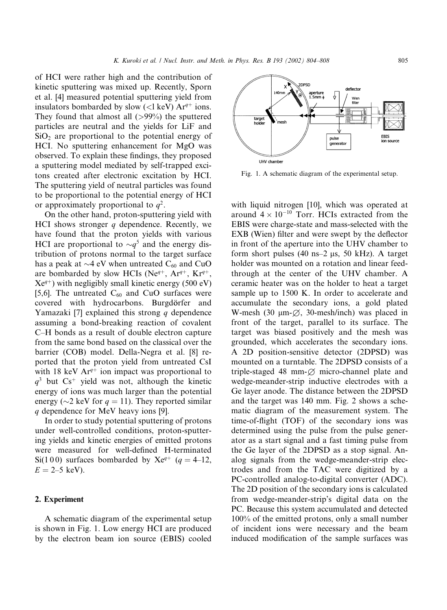of HCI were rather high and the contribution of kinetic sputtering was mixed up. Recently, Sporn et al. [4] measured potential sputtering yield from insulators bombarded by slow (<l keV)  $Ar^{q+}$  ions. They found that almost all  $(>99\%)$  the sputtered particles are neutral and the yields for LiF and  $SiO<sub>2</sub>$  are proportional to the potential energy of HCI. No sputtering enhancement for MgO was observed. To explain these findings, they proposed a sputtering model mediated by self-trapped excitons created after electronic excitation by HCI. The sputtering yield of neutral particles was found to be proportional to the potential energy of HCI or approximately proportional to  $q^2$ .

On the other hand, proton-sputtering yield with HCI shows stronger  $q$  dependence. Recently, we have found that the proton yields with various HCI are proportional to  $\sim q^5$  and the energy distribution of protons normal to the target surface has a peak at  $\sim$ 4 eV when untreated C<sub>60</sub> and CuO are bombarded by slow HCIs (Ne<sup>q+</sup>, Ar<sup>q+</sup>, Kr<sup>q+</sup>,  $Xe^{q+}$ ) with negligibly small kinetic energy (500 eV) [5,6]. The untreated  $C_{60}$  and CuO surfaces were covered with hydrocarbons. Burgdörfer and Yamazaki [7] explained this strong q dependence assuming a bond-breaking reaction of covalent C–H bonds as a result of double electron capture from the same bond based on the classical over the barrier (COB) model. Della-Negra et al. [8] reported that the proton yield from untreated CsI with 18 keV Ar<sup>q+</sup> ion impact was proportional to  $q<sup>3</sup>$  but Cs<sup>+</sup> yield was not, although the kinetic energy of ions was much larger than the potential energy ( $\sim$ 2 keV for  $q = 11$ ). They reported similar q dependence for MeV heavy ions [9].

In order to study potential sputtering of protons under well-controlled conditions, proton-sputtering yields and kinetic energies of emitted protons were measured for well-defined H-terminated Si(100) surfaces bombarded by Xe<sup>q+</sup> (q = 4–12,  $E = 2-5$  keV).

# 2. Experiment

A schematic diagram of the experimental setup is shown in Fig. 1. Low energy HCI are produced by the electron beam ion source (EBIS) cooled



Fig. 1. A schematic diagram of the experimental setup.

with liquid nitrogen [10], which was operated at around  $4 \times 10^{-10}$  Torr. HCIs extracted from the EBIS were charge-state and mass-selected with the EXB (Wien) filter and were swept by the deflector in front of the aperture into the UHV chamber to form short pulses  $(40 \text{ ns} - 2 \text{ \mu s}, 50 \text{ kHz})$ . A target holder was mounted on a rotation and linear feedthrough at the center of the UHV chamber. A ceramic heater was on the holder to heat a target sample up to 1500 K. In order to accelerate and accumulate the secondary ions, a gold plated W-mesh (30  $\mu$ m- $\varnothing$ , 30-mesh/inch) was placed in front of the target, parallel to its surface. The target was biased positively and the mesh was grounded, which accelerates the secondary ions. A 2D position-sensitive detector (2DPSD) was mounted on a turntable. The 2DPSD consists of a triple-staged 48 mm- $\varnothing$  micro-channel plate and wedge-meander-strip inductive electrodes with a Ge layer anode. The distance between the 2DPSD and the target was 140 mm. Fig. 2 shows a schematic diagram of the measurement system. The time-of-flight (TOF) of the secondary ions was determined using the pulse from the pulse generator as a start signal and a fast timing pulse from the Ge layer of the 2DPSD as a stop signal. Analog signals from the wedge-meander-strip electrodes and from the TAC were digitized by a PC-controlled analog-to-digital converter (ADC). The 2D position of the secondary ions is calculated from wedge-meander-strip's digital data on the PC. Because this system accumulated and detected 100% of the emitted protons, only a small number of incident ions were necessary and the beam induced modification of the sample surfaces was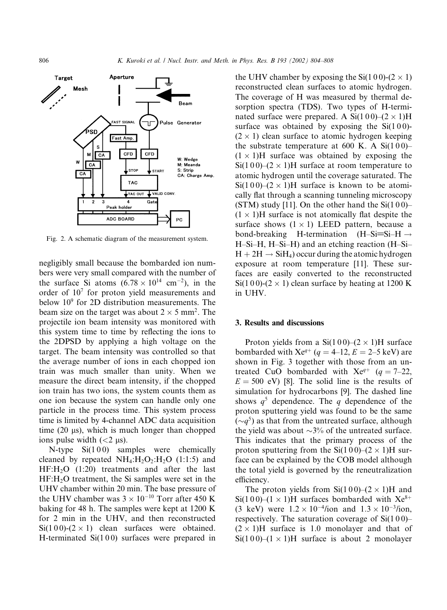

Fig. 2. A schematic diagram of the measurement system.

negligibly small because the bombarded ion numbers were very small compared with the number of the surface Si atoms  $(6.78 \times 10^{14} \text{ cm}^{-2})$ , in the order of 107 for proton yield measurements and below  $10<sup>9</sup>$  for 2D distribution measurements. The beam size on the target was about  $2 \times 5$  mm<sup>2</sup>. The projectile ion beam intensity was monitored with this system time to time by reflecting the ions to the 2DPSD by applying a high voltage on the target. The beam intensity was controlled so that the average number of ions in each chopped ion train was much smaller than unity. When we measure the direct beam intensity, if the chopped ion train has two ions, the system counts them as one ion because the system can handle only one particle in the process time. This system process time is limited by 4-channel ADC data acquisition time  $(20 \mu s)$ , which is much longer than chopped ions pulse width  $(< 2 \text{ }\mu\text{s})$ .

N-type  $Si(100)$  samples were chemically cleaned by repeated  $NH_4:H_2O_2:H_2O$  (1:1:5) and  $HF:H<sub>2</sub>O$  (1:20) treatments and after the last  $HF:H<sub>2</sub>O$  treatment, the Si samples were set in the UHV chamber within 20 min. The base pressure of the UHV chamber was  $3 \times 10^{-10}$  Torr after 450 K baking for 48 h. The samples were kept at 1200 K for 2 min in the UHV, and then reconstructed  $Si(100)-(2\times1)$  clean surfaces were obtained. H-terminated  $Si(100)$  surfaces were prepared in the UHV chamber by exposing the Si(100)-(2  $\times$  1) reconstructed clean surfaces to atomic hydrogen. The coverage of H was measured by thermal desorption spectra (TDS). Two types of H-terminated surface were prepared. A  $Si(100)–(2 \times 1)H$ surface was obtained by exposing the  $Si(100)$ - $(2 \times 1)$  clean surface to atomic hydrogen keeping the substrate temperature at  $600 \text{ K}$ . A Si $(100)$ –  $(1 \times 1)$ H surface was obtained by exposing the  $Si(100)$ – $(2 \times 1)$ H surface at room temperature to atomic hydrogen until the coverage saturated. The Si(100)–(2  $\times$  1)H surface is known to be atomically flat through a scanning tunneling microscopy (STM) study [11]. On the other hand the  $Si(100)$ –  $(1 \times 1)$ H surface is not atomically flat despite the surface shows  $(1 \times 1)$  LEED pattern, because a bond-breaking H-termination  $(H-Si=Si-H \rightarrow$ H–Si–H, H–Si–H) and an etching reaction (H–Si–  $H + 2H \rightarrow SiH_4$ ) occur during the atomic hydrogen exposure at room temperature [11]. These surfaces are easily converted to the reconstructed Si(1 0 0)-(2  $\times$  1) clean surface by heating at 1200 K in UHV.

#### 3. Results and discussions

Proton yields from a Si(100)–(2  $\times$  1)H surface bombarded with  $Xe^{q+}$  (q = 4–12, E = 2–5 keV) are shown in Fig. 3 together with those from an untreated CuO bombarded with  $Xe^{q+}$  (q = 7–22,  $E = 500$  eV) [8]. The solid line is the results of simulation for hydrocarbons [9]. The dashed line shows  $q^5$  dependence. The q dependence of the proton sputtering yield was found to be the same  $(\sim q^5)$  as that from the untreated surface, although the yield was about  $\sim$ 3% of the untreated surface. This indicates that the primary process of the proton sputtering from the  $Si(100)–(2 \times 1)H$  surface can be explained by the COB model although the total yield is governed by the reneutralization efficiency.

The proton yields from  $Si(100)$ – $(2 \times 1)H$  and Si(100)–(1  $\times$  1)H surfaces bombarded with Xe<sup>8+</sup> (3 keV) were  $1.2 \times 10^{-4}$ /ion and  $1.3 \times 10^{-3}$ /ion, respectively. The saturation coverage of  $Si(100)$ –  $(2 \times 1)$ H surface is 1.0 monolayer and that of  $Si(100)–(1 \times 1)H$  surface is about 2 monolayer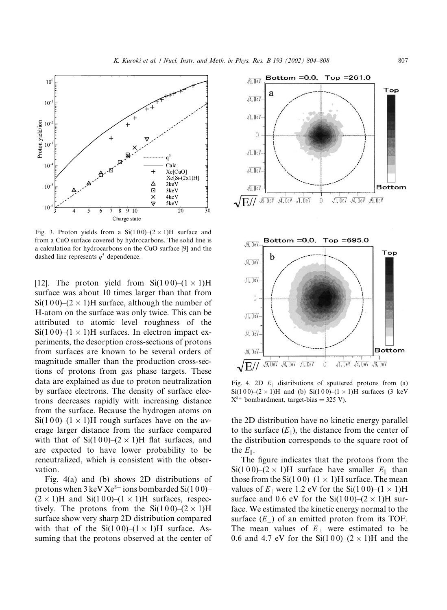$\sqrt{1.0}$ eV-

 $\sqrt{4.0eV}$ 

 $\sqrt{9}$ ,  $0eV$ 

 $\sqrt{E/2}$ 



Fig. 3. Proton yields from a Si(100)–(2  $\times$  1)H surface and from a CuO surface covered by hydrocarbons. The solid line is a calculation for hydrocarbons on the CuO surface [9] and the dashed line represents  $q^5$  dependence.

[12]. The proton yield from  $Si(100)–(1 \times 1)H$ surface was about 10 times larger than that from  $Si(100)–(2 \times 1)H$  surface, although the number of H-atom on the surface was only twice. This can be attributed to atomic level roughness of the  $Si(100)–(1 \times 1)H$  surfaces. In electron impact experiments, the desorption cross-sections of protons from surfaces are known to be several orders of magnitude smaller than the production cross-sections of protons from gas phase targets. These data are explained as due to proton neutralization by surface electrons. The density of surface electrons decreases rapidly with increasing distance from the surface. Because the hydrogen atoms on  $Si(100)$ – $(1 \times 1)$ H rough surfaces have on the average larger distance from the surface compared with that of  $Si(100)–(2 \times 1)H$  flat surfaces, and are expected to have lower probability to be reneutralized, which is consistent with the observation.

Fig. 4(a) and (b) shows 2D distributions of protons when  $3 \text{ keV Xe}^{8+}$  ions bombarded Si(100)–  $(2 \times 1)$ H and Si(100)–(1  $\times$  1)H surfaces, respectively. The protons from the  $Si(100)–(2 \times 1)H$ surface show very sharp 2D distribution compared with that of the  $Si(100)–(1 \times 1)H$  surface. Assuming that the protons observed at the center of



Fig. 4. 2D  $E_{\parallel}$  distributions of sputtered protons from (a) Si(100)–(2 × 1)H and (b) Si(100)–(1 × 1)H surfaces (3 keV  $X^{8+}$  bombardment, target-bias = 325 V).

 $\mathbb O$ 

 $\sqrt{9.0eV}$   $\sqrt{4.0eV}$   $\sqrt{1.0eV}$ 

the 2D distribution have no kinetic energy parallel to the surface  $(E_{\parallel})$ , the distance from the center of the distribution corresponds to the square root of the  $E_{\parallel}$ .

The figure indicates that the protons from the  $Si(100)$ – $(2 \times 1)$ H surface have smaller  $E_{\parallel}$  than those from the Si(100)–(1  $\times$  1)H surface. The mean values of  $E_{\parallel}$  were 1.2 eV for the Si(100)–(1  $\times$  1)H surface and 0.6 eV for the  $Si(100)$ – $(2 \times 1)$ H surface. We estimated the kinetic energy normal to the surface  $(E_{\perp})$  of an emitted proton from its TOF. The mean values of  $E_{\perp}$  were estimated to be 0.6 and 4.7 eV for the Si(100)–(2  $\times$  1)H and the

**Bottom** 

 $\sqrt{1.0eV}$   $\sqrt{4.0eV}$   $\sqrt{9.0eV}$